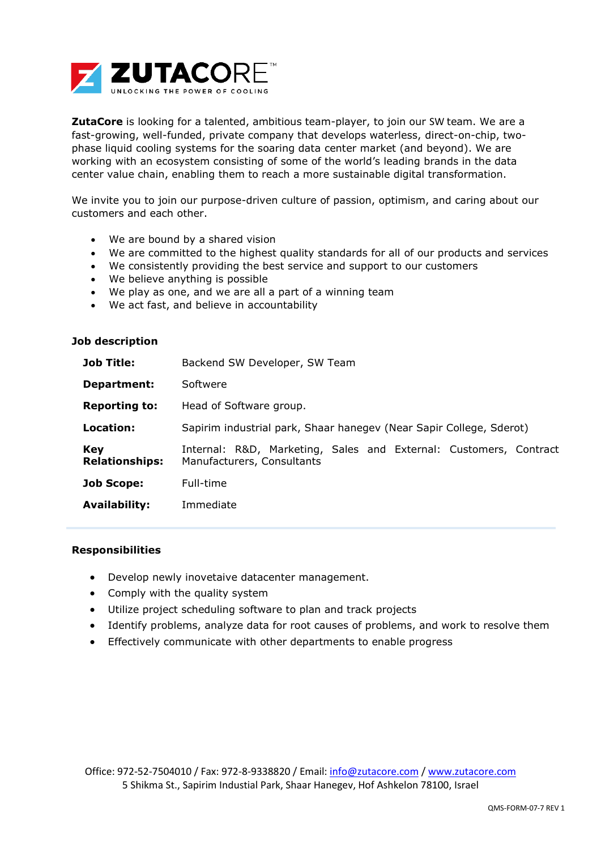

**ZutaCore** is looking for a talented, ambitious team-player, to join our SW team. We are a fast-growing, well-funded, private company that develops waterless, direct-on-chip, twophase liquid cooling systems for the soaring data center market (and beyond). We are working with an ecosystem consisting of some of the world's leading brands in the data center value chain, enabling them to reach a more sustainable digital transformation.

We invite you to join our purpose-driven culture of passion, optimism, and caring about our customers and each other.

- We are bound by a shared vision
- We are committed to the highest quality standards for all of our products and services
- We consistently providing the best service and support to our customers
- We believe anything is possible
- We play as one, and we are all a part of a winning team
- We act fast, and believe in accountability

## **Job description**

| <b>Job Title:</b>                   | Backend SW Developer, SW Team                                                                   |
|-------------------------------------|-------------------------------------------------------------------------------------------------|
| Department:                         | Softwere                                                                                        |
| <b>Reporting to:</b>                | Head of Software group.                                                                         |
| Location:                           | Sapirim industrial park, Shaar hanegev (Near Sapir College, Sderot)                             |
| <b>Key</b><br><b>Relationships:</b> | Internal: R&D, Marketing, Sales and External: Customers, Contract<br>Manufacturers, Consultants |
| <b>Job Scope:</b>                   | Full-time                                                                                       |
| <b>Availability:</b>                | Immediate                                                                                       |

## **Responsibilities**

- Develop newly inovetaive datacenter management.
- Comply with the quality system
- Utilize project scheduling software to plan and track projects
- Identify problems, analyze data for root causes of problems, and work to resolve them
- Effectively communicate with other departments to enable progress